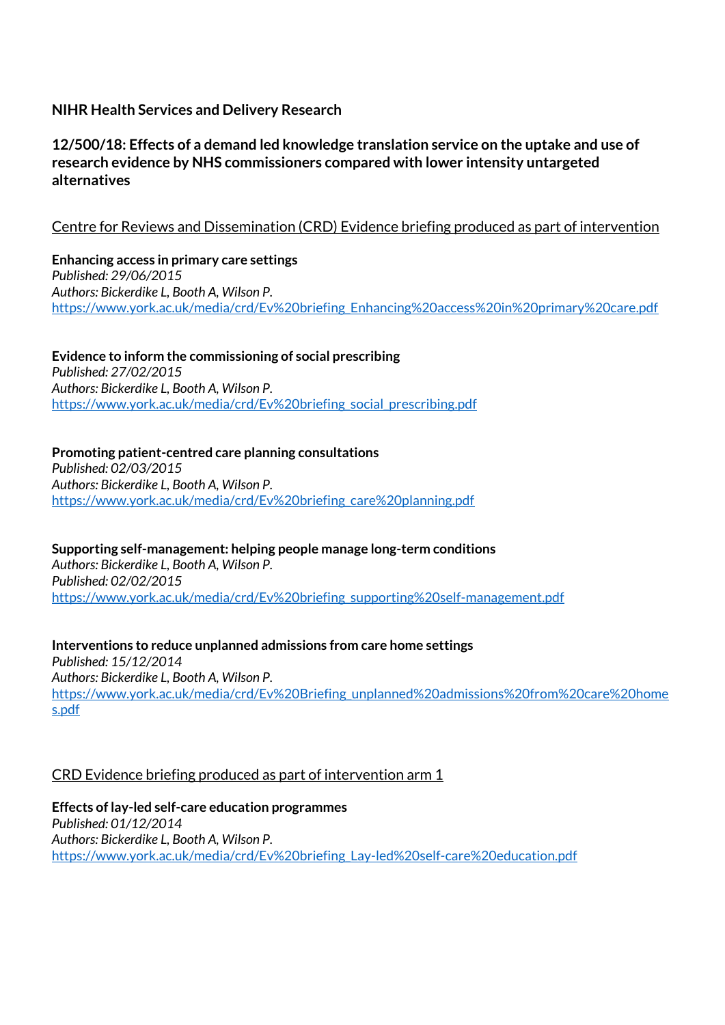# **NIHR Health Services and Delivery Research**

# **12/500/18: Effects of a demand led knowledge translation service on the uptake and use of research evidence by NHS commissioners compared with lower intensity untargeted alternatives**

# Centre for Reviews and Dissemination (CRD) Evidence briefing produced as part of intervention

**Enhancing access in primary care settings** *Published: 29/06/2015 Authors: Bickerdike L, Booth A, Wilson P.* [https://www.york.ac.uk/media/crd/Ev%20briefing\\_Enhancing%20access%20in%20primary%20care.pdf](https://www.york.ac.uk/media/crd/Ev%20briefing_Enhancing%20access%20in%20primary%20care.pdf)

**Evidence to inform the commissioning of social prescribing** *Published: 27/02/2015 Authors: Bickerdike L, Booth A, Wilson P.* [https://www.york.ac.uk/media/crd/Ev%20briefing\\_social\\_prescribing.pdf](https://www.york.ac.uk/media/crd/Ev%20briefing_social_prescribing.pdf)

**Promoting patient-centred care planning consultations** *Published: 02/03/2015 Authors: Bickerdike L, Booth A, Wilson P.* [https://www.york.ac.uk/media/crd/Ev%20briefing\\_care%20planning.pdf](https://www.york.ac.uk/media/crd/Ev%20briefing_care%20planning.pdf)

**Supporting self-management: helping people manage long-term conditions** *Authors: Bickerdike L, Booth A, Wilson P. Published: 02/02/2015* [https://www.york.ac.uk/media/crd/Ev%20briefing\\_supporting%20self-management.pdf](https://www.york.ac.uk/media/crd/Ev%20briefing_supporting%20self-management.pdf)

**Interventions to reduce unplanned admissions from care home settings** *Published: 15/12/2014 Authors: Bickerdike L, Booth A, Wilson P.* [https://www.york.ac.uk/media/crd/Ev%20Briefing\\_unplanned%20admissions%20from%20care%20home](https://www.york.ac.uk/media/crd/Ev%20Briefing_unplanned%20admissions%20from%20care%20homes.pdf) [s.pdf](https://www.york.ac.uk/media/crd/Ev%20Briefing_unplanned%20admissions%20from%20care%20homes.pdf)

### CRD Evidence briefing produced as part of intervention arm 1

**Effects of lay-led self-care education programmes** *Published: 01/12/2014 Authors: Bickerdike L, Booth A, Wilson P.* [https://www.york.ac.uk/media/crd/Ev%20briefing\\_Lay-led%20self-care%20education.pdf](https://www.york.ac.uk/media/crd/Ev%20briefing_Lay-led%20self-care%20education.pdf)